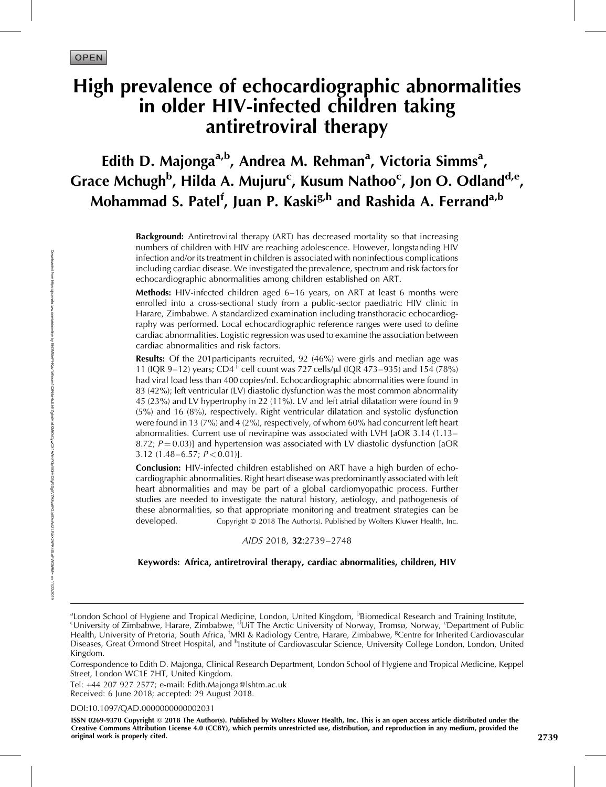# High prevalence of echocardiographic abnormalities in older HIV-infected children taking antiretroviral therapy

Edith D. Majonga<sup>a,b</sup>, Andrea M. Rehman<sup>a</sup>, Victoria Simms<sup>a</sup>, Grace Mchugh<sup>b</sup>, Hilda A. Mujuru<sup>c</sup>, Kusum Nathoo<sup>c</sup>, Jon O. Odland<sup>d,e</sup>, Mohammad S. Patel<sup>f</sup>, Juan P. Kaski<sup>g,h</sup> and Rashida A. Ferrand<sup>a,b</sup>

> **Background:** Antiretroviral therapy (ART) has decreased mortality so that increasing numbers of children with HIV are reaching adolescence. However, longstanding HIV infection and/or its treatment in children is associated with noninfectious complications including cardiac disease. We investigated the prevalence, spectrum and risk factors for echocardiographic abnormalities among children established on ART.

> Methods: HIV-infected children aged 6–16 years, on ART at least 6 months were enrolled into a cross-sectional study from a public-sector paediatric HIV clinic in Harare, Zimbabwe. A standardized examination including transthoracic echocardiography was performed. Local echocardiographic reference ranges were used to define cardiac abnormalities. Logistic regression was used to examine the association between cardiac abnormalities and risk factors.

> Results: Of the 201 participants recruited, 92 (46%) were girls and median age was 11 (IQR 9–12) years; CD4<sup>+</sup> cell count was 727 cells/ $\mu$ l (IQR 473–935) and 154 (78%) had viral load less than 400 copies/ml. Echocardiographic abnormalities were found in 83 (42%); left ventricular (LV) diastolic dysfunction was the most common abnormality 45 (23%) and LV hypertrophy in 22 (11%). LV and left atrial dilatation were found in 9 (5%) and 16 (8%), respectively. Right ventricular dilatation and systolic dysfunction were found in 13 (7%) and 4 (2%), respectively, of whom 60% had concurrent left heart abnormalities. Current use of nevirapine was associated with LVH [aOR 3.14 (1.13– 8.72;  $P = 0.03$ ] and hypertension was associated with LV diastolic dysfunction [aOR 3.12  $(1.48-6.57; P < 0.01)$ ].

> Conclusion: HIV-infected children established on ART have a high burden of echocardiographic abnormalities. Right heart disease was predominantly associated with left heart abnormalities and may be part of a global cardiomyopathic process. Further studies are needed to investigate the natural history, aetiology, and pathogenesis of these abnormalities, so that appropriate monitoring and treatment strategies can be developed. Copyright © 2018 The Author(s). Published by Wolters Kluwer Health, Inc.

> > AIDS 2018, 32:2739–2748

## Keywords: Africa, antiretroviral therapy, cardiac abnormalities, children, HIV

DOI[:10.1097/QAD.0000000000002031](http://dx.doi.org/10.1097/QAD.0000000000002031)

ISSN 0269-9370 Copyright © 2018 The Author(s). Published by Wolters Kluwer Health, Inc. This is an open access article distributed under the Creative Commons Attribution License 4.0 (CCBY), which permits unrestricted use, distribution, and reproduction in any medium, provided the original work is properly cited. 2739

<sup>&</sup>lt;sup>a</sup>London School of Hygiene and Tropical Medicine, London, United Kingdom, <sup>b</sup>Biomedical Research and Training Institute,<br><sup>CLI</sup>Diversity of Zimbabwe, Harare, Zimbabwe, <sup>d</sup>LIJT The Arctic University of Norway, Tromeg, Norwa University of Zimbabwe, Harare, Zimbabwe, <sup>d</sup>UiT The Arctic University of Norway, Tromsø, Norway, <sup>e</sup>Department of Public Health, University of Pretoria, South Africa, <sup>f</sup>MRI & Radiology Centre, Harare, Zimbabwe, <sup>g</sup>Centre for Inherited Cardiovascular Diseases, Great Ormond Street Hospital, and <sup>h</sup>Institute of Cardiovascular Science, University College London, London, United Kingdom.

Correspondence to Edith D. Majonga, Clinical Research Department, London School of Hygiene and Tropical Medicine, Keppel Street, London WC1E 7HT, United Kingdom.

Tel: +44 207 927 2577; e-mail: Edith.Majonga@lshtm.ac.uk Received: 6 June 2018; accepted: 29 August 2018.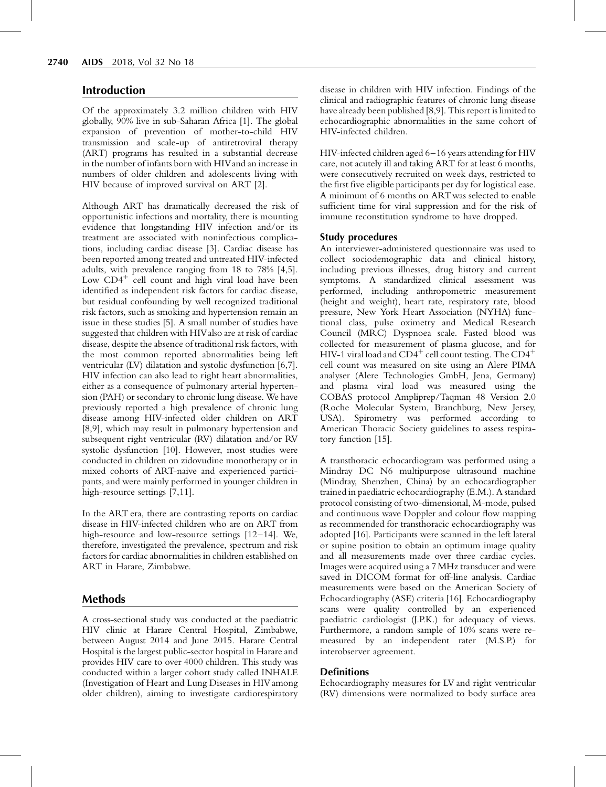## Introduction

Of the approximately 3.2 million children with HIV globally, 90% live in sub-Saharan Africa [1]. The global expansion of prevention of mother-to-child HIV transmission and scale-up of antiretroviral therapy (ART) programs has resulted in a substantial decrease in the number of infants born with HIVand an increase in numbers of older children and adolescents living with HIV because of improved survival on ART [2].

Although ART has dramatically decreased the risk of opportunistic infections and mortality, there is mounting evidence that longstanding HIV infection and/or its treatment are associated with noninfectious complications, including cardiac disease [3]. Cardiac disease has been reported among treated and untreated HIV-infected adults, with prevalence ranging from 18 to 78% [4,5]. Low  $CD4^+$  cell count and high viral load have been identified as independent risk factors for cardiac disease, but residual confounding by well recognized traditional risk factors, such as smoking and hypertension remain an issue in these studies [5]. A small number of studies have suggested that children with HIValso are at risk of cardiac disease, despite the absence of traditional risk factors, with the most common reported abnormalities being left ventricular (LV) dilatation and systolic dysfunction [6,7]. HIV infection can also lead to right heart abnormalities, either as a consequence of pulmonary arterial hypertension (PAH) or secondary to chronic lung disease. We have previously reported a high prevalence of chronic lung disease among HIV-infected older children on ART [8,9], which may result in pulmonary hypertension and subsequent right ventricular (RV) dilatation and/or RV systolic dysfunction [10]. However, most studies were conducted in children on zidovudine monotherapy or in mixed cohorts of ART-naive and experienced participants, and were mainly performed in younger children in high-resource settings [7,11].

In the ART era, there are contrasting reports on cardiac disease in HIV-infected children who are on ART from high-resource and low-resource settings [12–14]. We, therefore, investigated the prevalence, spectrum and risk factors for cardiac abnormalities in children established on ART in Harare, Zimbabwe.

# Methods

A cross-sectional study was conducted at the paediatric HIV clinic at Harare Central Hospital, Zimbabwe, between August 2014 and June 2015. Harare Central Hospital is the largest public-sector hospital in Harare and provides HIV care to over 4000 children. This study was conducted within a larger cohort study called INHALE (Investigation of Heart and Lung Diseases in HIV among older children), aiming to investigate cardiorespiratory disease in children with HIV infection. Findings of the clinical and radiographic features of chronic lung disease have already been published [8,9]. This report is limited to echocardiographic abnormalities in the same cohort of HIV-infected children.

HIV-infected children aged 6–16 years attending for HIV care, not acutely ill and taking ART for at least 6 months, were consecutively recruited on week days, restricted to the first five eligible participants per day for logistical ease. A minimum of 6 months on ART was selected to enable sufficient time for viral suppression and for the risk of immune reconstitution syndrome to have dropped.

## Study procedures

An interviewer-administered questionnaire was used to collect sociodemographic data and clinical history, including previous illnesses, drug history and current symptoms. A standardized clinical assessment was performed, including anthropometric measurement (height and weight), heart rate, respiratory rate, blood pressure, New York Heart Association (NYHA) functional class, pulse oximetry and Medical Research Council (MRC) Dyspnoea scale. Fasted blood was collected for measurement of plasma glucose, and for HIV-1 viral load and  $CD4^+$  cell count testing. The  $CD4^+$ cell count was measured on site using an Alere PIMA analyser (Alere Technologies GmbH, Jena, Germany) and plasma viral load was measured using the COBAS protocol Ampliprep/Taqman 48 Version 2.0 (Roche Molecular System, Branchburg, New Jersey, USA). Spirometry was performed according to American Thoracic Society guidelines to assess respiratory function [15].

A transthoracic echocardiogram was performed using a Mindray DC N6 multipurpose ultrasound machine (Mindray, Shenzhen, China) by an echocardiographer trained in paediatric echocardiography (E.M.). A standard protocol consisting of two-dimensional, M-mode, pulsed and continuous wave Doppler and colour flow mapping as recommended for transthoracic echocardiography was adopted [16]. Participants were scanned in the left lateral or supine position to obtain an optimum image quality and all measurements made over three cardiac cycles. Images were acquired using a 7 MHz transducer and were saved in DICOM format for off-line analysis. Cardiac measurements were based on the American Society of Echocardiography (ASE) criteria [16]. Echocardiography scans were quality controlled by an experienced paediatric cardiologist (J.P.K.) for adequacy of views. Furthermore, a random sample of 10% scans were remeasured by an independent rater (M.S.P.) for interobserver agreement.

## Definitions

Echocardiography measures for LV and right ventricular (RV) dimensions were normalized to body surface area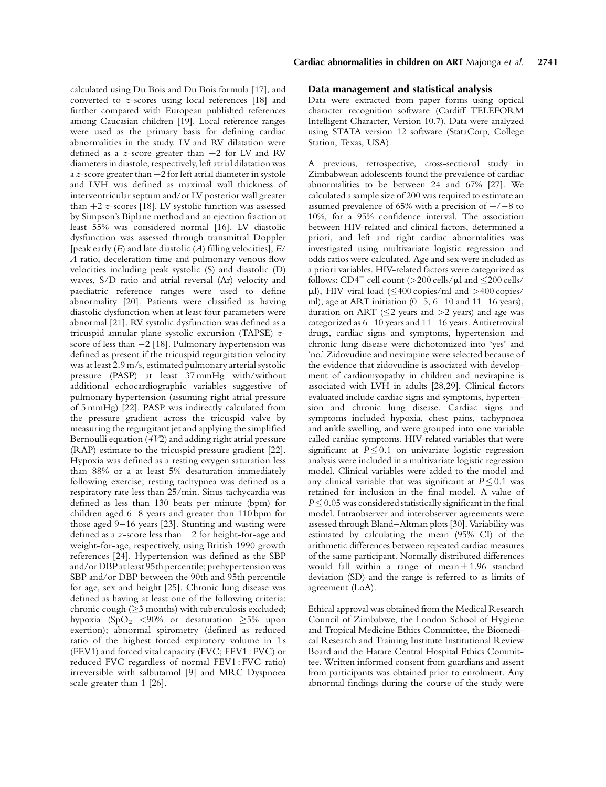calculated using Du Bois and Du Bois formula [17], and converted to z-scores using local references [18] and further compared with European published references among Caucasian children [19]. Local reference ranges were used as the primary basis for defining cardiac abnormalities in the study. LV and RV dilatation were defined as a  $z$ -score greater than  $+2$  for LV and RV diameters in diastole, respectively, left atrial dilatation was a z-score greater than  $+2$  for left atrial diameter in systole and LVH was defined as maximal wall thickness of interventricular septum and/or LV posterior wall greater than  $+2$  z-scores [18]. LV systolic function was assessed by Simpson's Biplane method and an ejection fraction at least 55% was considered normal [16]. LV diastolic dysfunction was assessed through transmitral Doppler [peak early  $(E)$  and late diastolic  $(A)$  filling velocities],  $E$ / A ratio, deceleration time and pulmonary venous flow velocities including peak systolic (S) and diastolic (D) waves, S/D ratio and atrial reversal (Ar) velocity and paediatric reference ranges were used to define abnormality [20]. Patients were classified as having diastolic dysfunction when at least four parameters were abnormal [21]. RV systolic dysfunction was defined as a tricuspid annular plane systolic excursion (TAPSE) zscore of less than -2 [18]. Pulmonary hypertension was defined as present if the tricuspid regurgitation velocity was at least 2.9 m/s, estimated pulmonary arterial systolic pressure (PASP) at least 37 mmHg with/without additional echocardiographic variables suggestive of pulmonary hypertension (assuming right atrial pressure of 5 mmHg) [22]. PASP was indirectly calculated from the pressure gradient across the tricuspid valve by measuring the regurgitant jet and applying the simplified Bernoulli equation (4V2) and adding right atrial pressure (RAP) estimate to the tricuspid pressure gradient [22]. Hypoxia was defined as a resting oxygen saturation less than 88% or a at least 5% desaturation immediately following exercise; resting tachypnea was defined as a respiratory rate less than 25/min. Sinus tachycardia was defined as less than 130 beats per minute (bpm) for children aged 6–8 years and greater than 110 bpm for those aged 9–16 years [23]. Stunting and wasting were defined as a  $z$ -score less than  $-2$  for height-for-age and weight-for-age, respectively, using British 1990 growth references [24]. Hypertension was defined as the SBP and/or DBP at least 95th percentile; prehypertension was SBP and/or DBP between the 90th and 95th percentile for age, sex and height [25]. Chronic lung disease was defined as having at least one of the following criteria: chronic cough  $(≥3$  months) with tuberculosis excluded; hypoxia (SpO<sub>2</sub> <90% or desaturation  $\geq$ 5% upon exertion); abnormal spirometry (defined as reduced ratio of the highest forced expiratory volume in 1 s (FEV1) and forced vital capacity (FVC; FEV1 : FVC) or reduced FVC regardless of normal FEV1 : FVC ratio) irreversible with salbutamol [9] and MRC Dyspnoea scale greater than 1 [26].

# Data management and statistical analysis

Data were extracted from paper forms using optical character recognition software (Cardiff TELEFORM Intelligent Character, Version 10.7). Data were analyzed using STATA version 12 software (StataCorp, College Station, Texas, USA).

A previous, retrospective, cross-sectional study in Zimbabwean adolescents found the prevalence of cardiac abnormalities to be between 24 and 67% [27]. We calculated a sample size of 200 was required to estimate an assumed prevalence of 65% with a precision of  $+/-8$  to 10%, for a 95% confidence interval. The association between HIV-related and clinical factors, determined a priori, and left and right cardiac abnormalities was investigated using multivariate logistic regression and odds ratios were calculated. Age and sex were included as a priori variables. HIV-related factors were categorized as follows: CD4<sup>+</sup> cell count (>200 cells/ $\mu$ l and  $\leq$ 200 cells/  $\mu$ l), HIV viral load ( $\leq$ 400 copies/ml and >400 copies/ ml), age at ART initiation  $(0-5, 6-10)$  and  $11-16$  years), duration on ART ( $\leq$ 2 years and  $>$ 2 years) and age was categorized as  $6-10$  years and  $11-16$  years. Antiretroviral drugs, cardiac signs and symptoms, hypertension and chronic lung disease were dichotomized into 'yes' and 'no.' Zidovudine and nevirapine were selected because of the evidence that zidovudine is associated with development of cardiomyopathy in children and nevirapine is associated with LVH in adults [28,29]. Clinical factors evaluated include cardiac signs and symptoms, hypertension and chronic lung disease. Cardiac signs and symptoms included hypoxia, chest pains, tachypnoea and ankle swelling, and were grouped into one variable called cardiac symptoms. HIV-related variables that were significant at  $P \leq 0.1$  on univariate logistic regression analysis were included in a multivariate logistic regression model. Clinical variables were added to the model and any clinical variable that was significant at  $P \leq 0.1$  was retained for inclusion in the final model. A value of  $P \leq 0.05$  was considered statistically significant in the final model. Intraobserver and interobserver agreements were assessed through Bland–Altman plots [30]. Variability was estimated by calculating the mean (95% CI) of the arithmetic differences between repeated cardiac measures of the same participant. Normally distributed differences would fall within a range of mean  $\pm 1.96$  standard deviation (SD) and the range is referred to as limits of agreement (LoA).

Ethical approval was obtained from the Medical Research Council of Zimbabwe, the London School of Hygiene and Tropical Medicine Ethics Committee, the Biomedical Research and Training Institute Institutional Review Board and the Harare Central Hospital Ethics Committee. Written informed consent from guardians and assent from participants was obtained prior to enrolment. Any abnormal findings during the course of the study were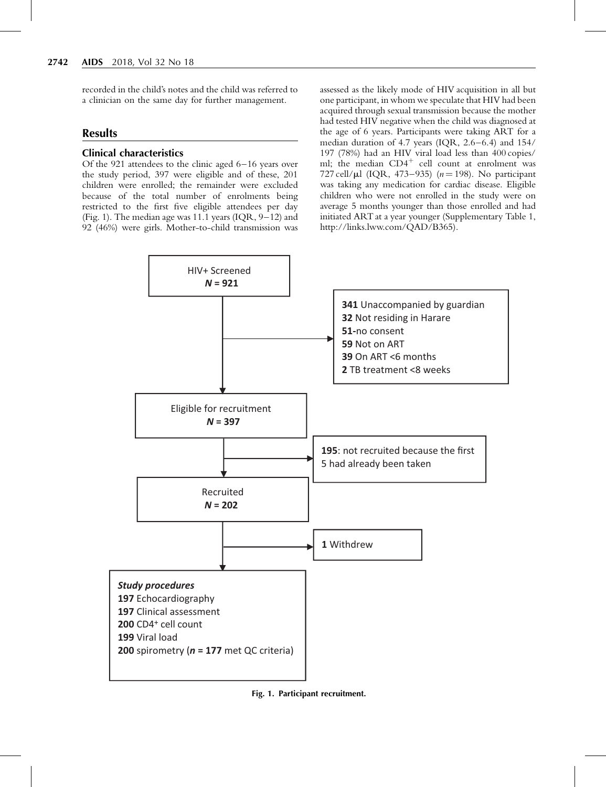recorded in the child's notes and the child was referred to a clinician on the same day for further management.

# Results

# Clinical characteristics

Of the 921 attendees to the clinic aged 6–16 years over the study period, 397 were eligible and of these, 201 children were enrolled; the remainder were excluded because of the total number of enrolments being restricted to the first five eligible attendees per day (Fig. 1). The median age was  $11.1$  years (IQR,  $9-12$ ) and 92 (46%) were girls. Mother-to-child transmission was

assessed as the likely mode of HIV acquisition in all but one participant, in whom we speculate that HIV had been acquired through sexual transmission because the mother had tested HIV negative when the child was diagnosed at the age of 6 years. Participants were taking ART for a median duration of 4.7 years (IQR, 2.6–6.4) and 154/ 197 (78%) had an HIV viral load less than 400 copies/ ml; the median  $CD4^+$  cell count at enrolment was 727 cell/ $\mu$ l (IQR, 473–935) ( $n = 198$ ). No participant was taking any medication for cardiac disease. Eligible children who were not enrolled in the study were on average 5 months younger than those enrolled and had initiated ART at a year younger (Supplementary Table 1, <http://links.lww.com/QAD/B365>).



Fig. 1. Participant recruitment.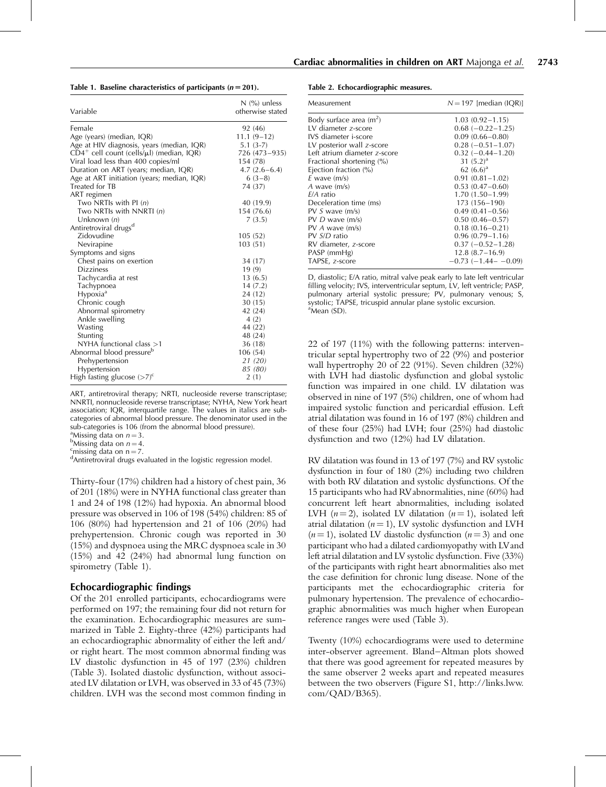#### Table 1. Baseline characteristics of participants  $(n = 201)$ .

| Variable                                          | $N$ (%) unless<br>otherwise stated |
|---------------------------------------------------|------------------------------------|
| Female                                            | 92 (46)                            |
| Age (years) (median, IQR)                         | $11.1(9-12)$                       |
| Age at HIV diagnosis, years (median, IQR)         | $5.1(3-7)$                         |
| $CD4^+$ cell count (cells/ $\mu$ l) (median, IQR) | 726 (473-935)                      |
| Viral load less than 400 copies/ml                | 154 (78)                           |
| Duration on ART (years; median, IQR)              | $4.7(2.6-6.4)$                     |
| Age at ART initiation (years; median, IQR)        | $6(3-8)$                           |
| Treated for TB                                    | 74 (37)                            |
| ART regimen                                       |                                    |
| Two NRTIs with PI $(n)$                           | 40 (19.9)                          |
| Two NRTIs with NNRTI $(n)$                        | 154 (76.6)                         |
| Unknown $(n)$                                     | 7(3.5)                             |
| Antiretroviral drugs <sup>d</sup>                 |                                    |
| Zidovudine                                        | 105(52)                            |
| Nevirapine                                        | 103(51)                            |
| Symptoms and signs                                |                                    |
| Chest pains on exertion                           | 34 (17)                            |
| <b>Dizziness</b>                                  | 19(9)                              |
| Tachycardia at rest                               | 13(6.5)                            |
| Tachypnoea                                        | 14(7.2)                            |
| Hypoxia <sup>a</sup>                              | 24 (12)                            |
| Chronic cough                                     | 30(15)                             |
| Abnormal spirometry                               | 42 (24)                            |
| Ankle swelling                                    | 4(2)                               |
| Wasting                                           | 44 (22)                            |
| Stunting                                          | 48 (24)                            |
| NYHA functional class >1                          | 36(18)                             |
| Abnormal blood pressure <sup>b</sup>              | 106(54)                            |
| Prehypertension                                   | 21 (20)                            |
| Hypertension                                      | 85 (80)                            |
| High fasting glucose $(>7)^c$                     | 2(1)                               |

ART, antiretroviral therapy; NRTI, nucleoside reverse transcriptase; NNRTI, nonnucleoside reverse transcriptase; NYHA, New York heart association; IQR, interquartile range. The values in italics are subcategories of abnormal blood pressure. The denominator used in the sub-categories is 106 (from the abnormal blood pressure).

<sup>a</sup>Missing data on  $n = 3$ .

<sup>b</sup>Missing data on  $n = 4$ .

<sup>c</sup> missing data on  $n = 7$ .

Antiretroviral drugs evaluated in the logistic regression model.

Thirty-four (17%) children had a history of chest pain, 36 of 201 (18%) were in NYHA functional class greater than 1 and 24 of 198 (12%) had hypoxia. An abnormal blood pressure was observed in 106 of 198 (54%) children: 85 of 106 (80%) had hypertension and 21 of 106 (20%) had prehypertension. Chronic cough was reported in 30 (15%) and dyspnoea using the MRC dyspnoea scale in 30 (15%) and 42 (24%) had abnormal lung function on spirometry (Table 1).

### Echocardiographic findings

Of the 201 enrolled participants, echocardiograms were performed on 197; the remaining four did not return for the examination. Echocardiographic measures are summarized in Table 2. Eighty-three (42%) participants had an echocardiographic abnormality of either the left and/ or right heart. The most common abnormal finding was LV diastolic dysfunction in 45 of 197 (23%) children (Table 3). Isolated diastolic dysfunction, without associated LV dilatation or LVH, was observed in 33 of 45 (73%) children. LVH was the second most common finding in

#### Table 2. Echocardiographic measures.

| Measurement                  | $N = 197$ [median (IOR)]    |
|------------------------------|-----------------------------|
| Body surface area $(m^2)$    | $1.03(0.92 - 1.15)$         |
| LV diameter z-score          | $0.68 (-0.22 - 1.25)$       |
| IVS diameter i-score         | $0.09(0.66 - 0.80)$         |
| LV posterior wall z-score    | $0.28 (-0.51 - 1.07)$       |
| Left atrium diameter z-score | $0.32 (-0.44 - 1.20)$       |
| Fractional shortening (%)    | 31 $(5.2)^a$                |
| Ejection fraction $(\% )$    | 62 $(6.6)^a$                |
| $E$ wave $(m/s)$             | $0.91(0.81 - 1.02)$         |
| A wave $(m/s)$               | $0.53(0.47 - 0.60)$         |
| $F/A$ ratio                  | $1.70(1.50 - 1.99)$         |
| Deceleration time (ms)       | 173 (156-190)               |
| PV S wave $(m/s)$            | $0.49(0.41 - 0.56)$         |
| PV D wave (m/s)              | $0.50(0.46 - 0.57)$         |
| $PV A$ wave $(m/s)$          | $0.18(0.16 - 0.21)$         |
| PV S/D ratio                 | $0.96(0.79 - 1.16)$         |
| RV diameter, z-score         | $0.37 (-0.52 - 1.28)$       |
| PASP (mmHg)                  | $12.8(8.7 - 16.9)$          |
| TAPSE, z-score               | $-0.73$ ( $-1.44 - -0.09$ ) |

D, diastolic; E/A ratio, mitral valve peak early to late left ventricular filling velocity; IVS, interventricular septum, LV, left ventricle; PASP, pulmonary arterial systolic pressure; PV, pulmonary venous; S, systolic; TAPSE, tricuspid annular plane systolic excursion. a Mean (SD).

22 of 197 (11%) with the following patterns: interventricular septal hypertrophy two of 22 (9%) and posterior wall hypertrophy 20 of 22 (91%). Seven children (32%) with LVH had diastolic dysfunction and global systolic function was impaired in one child. LV dilatation was observed in nine of 197 (5%) children, one of whom had impaired systolic function and pericardial effusion. Left atrial dilatation was found in 16 of 197 (8%) children and of these four (25%) had LVH; four (25%) had diastolic dysfunction and two (12%) had LV dilatation.

RV dilatation was found in 13 of 197 (7%) and RV systolic dysfunction in four of 180 (2%) including two children with both RV dilatation and systolic dysfunctions. Of the 15 participants who had RVabnormalities, nine (60%) had concurrent left heart abnormalities, including isolated LVH  $(n=2)$ , isolated LV dilatation  $(n=1)$ , isolated left atrial dilatation ( $n = 1$ ), LV systolic dysfunction and LVH  $(n = 1)$ , isolated LV diastolic dysfunction  $(n = 3)$  and one participant who had a dilated cardiomyopathy with LVand left atrial dilatation and LV systolic dysfunction. Five (33%) of the participants with right heart abnormalities also met the case definition for chronic lung disease. None of the participants met the echocardiographic criteria for pulmonary hypertension. The prevalence of echocardiographic abnormalities was much higher when European reference ranges were used (Table 3).

Twenty (10%) echocardiograms were used to determine inter-observer agreement. Bland–Altman plots showed that there was good agreement for repeated measures by the same observer 2 weeks apart and repeated measures between the two observers (Figure S1, [http://links.lww.](http://links.lww.com/QAD/B365) [com/QAD/B365](http://links.lww.com/QAD/B365)).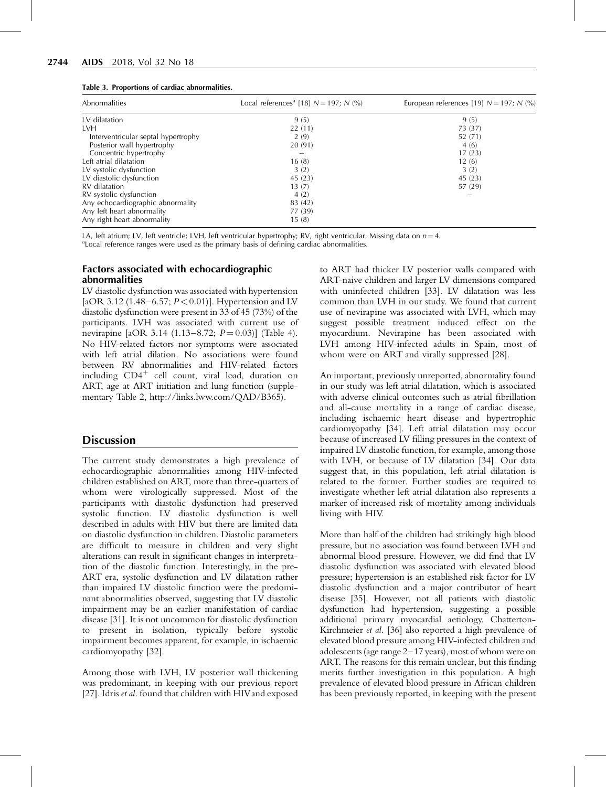| Abnormalities                       | Local references <sup>a</sup> [18] $N = 197$ ; N (%) | European references [19] $N = 197$ ; N (%) |
|-------------------------------------|------------------------------------------------------|--------------------------------------------|
| LV dilatation                       | 9(5)                                                 | 9(5)                                       |
| <b>LVH</b>                          | 22(11)                                               | 73 (37)                                    |
| Interventricular septal hypertrophy | 2(9)                                                 | 52 (71)                                    |
| Posterior wall hypertrophy          | 20(91)                                               | 4(6)                                       |
| Concentric hypertrophy              |                                                      | 17(23)                                     |
| Left atrial dilatation              | 16(8)                                                | 12(6)                                      |
| LV systolic dysfunction             | 3(2)                                                 | 3(2)                                       |
| LV diastolic dysfunction            | 45 (23)                                              | 45 (23)                                    |
| RV dilatation                       | 13(7)                                                | 57 (29)                                    |
| RV systolic dysfunction             | 4(2)                                                 |                                            |
| Any echocardiographic abnormality   | 83 (42)                                              |                                            |
| Any left heart abnormality          | 77 (39)                                              |                                            |
| Any right heart abnormality         | 15(8)                                                |                                            |

LA, left atrium; LV, left ventricle; LVH, left ventricular hypertrophy; RV, right ventricular. Missing data on  $n=4$ . <sup>a</sup> Local reference ranges were used as the primary basis of defining cardiac abnormalities.

## Factors associated with echocardiographic abnormalities

LV diastolic dysfunction was associated with hypertension [aOR 3.12 (1.48–6.57;  $P < 0.01$ ]. Hypertension and LV diastolic dysfunction were present in 33 of 45 (73%) of the participants. LVH was associated with current use of nevirapine [aOR 3.14 (1.13–8.72;  $P = 0.03$ ] (Table 4). No HIV-related factors nor symptoms were associated with left atrial dilation. No associations were found between RV abnormalities and HIV-related factors including  $CD4^+$  cell count, viral load, duration on ART, age at ART initiation and lung function (supplementary Table 2,<http://links.lww.com/QAD/B365>).

# **Discussion**

The current study demonstrates a high prevalence of echocardiographic abnormalities among HIV-infected children established on ART, more than three-quarters of whom were virologically suppressed. Most of the participants with diastolic dysfunction had preserved systolic function. LV diastolic dysfunction is well described in adults with HIV but there are limited data on diastolic dysfunction in children. Diastolic parameters are difficult to measure in children and very slight alterations can result in significant changes in interpretation of the diastolic function. Interestingly, in the pre-ART era, systolic dysfunction and LV dilatation rather than impaired LV diastolic function were the predominant abnormalities observed, suggesting that LV diastolic impairment may be an earlier manifestation of cardiac disease [31]. It is not uncommon for diastolic dysfunction to present in isolation, typically before systolic impairment becomes apparent, for example, in ischaemic cardiomyopathy [32].

Among those with LVH, LV posterior wall thickening was predominant, in keeping with our previous report [27]. Idris et al. found that children with HIV and exposed to ART had thicker LV posterior walls compared with ART-naive children and larger LV dimensions compared with uninfected children [33]. LV dilatation was less common than LVH in our study. We found that current use of nevirapine was associated with LVH, which may suggest possible treatment induced effect on the myocardium. Nevirapine has been associated with LVH among HIV-infected adults in Spain, most of whom were on ART and virally suppressed [28].

An important, previously unreported, abnormality found in our study was left atrial dilatation, which is associated with adverse clinical outcomes such as atrial fibrillation and all-cause mortality in a range of cardiac disease, including ischaemic heart disease and hypertrophic cardiomyopathy [34]. Left atrial dilatation may occur because of increased LV filling pressures in the context of impaired LV diastolic function, for example, among those with LVH, or because of LV dilatation [34]. Our data suggest that, in this population, left atrial dilatation is related to the former. Further studies are required to investigate whether left atrial dilatation also represents a marker of increased risk of mortality among individuals living with HIV.

More than half of the children had strikingly high blood pressure, but no association was found between LVH and abnormal blood pressure. However, we did find that LV diastolic dysfunction was associated with elevated blood pressure; hypertension is an established risk factor for LV diastolic dysfunction and a major contributor of heart disease [35]. However, not all patients with diastolic dysfunction had hypertension, suggesting a possible additional primary myocardial aetiology. Chatterton-Kirchmeier et al. [36] also reported a high prevalence of elevated blood pressure among HIV-infected children and adolescents (age range 2–17 years), most of whom were on ART. The reasons for this remain unclear, but this finding merits further investigation in this population. A high prevalence of elevated blood pressure in African children has been previously reported, in keeping with the present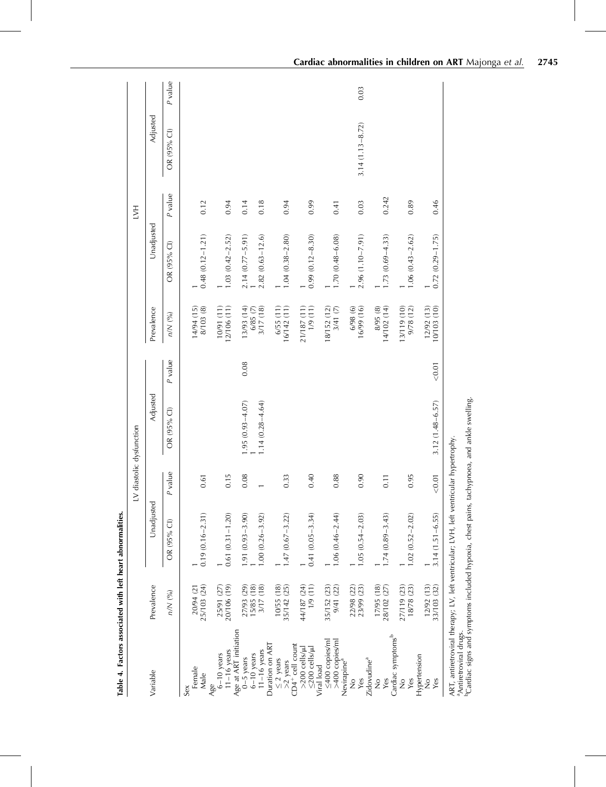|                                                                                       |                                       |                     | $\geq$            | diastolic dysfunction |         |                                                                          |                     | <b>H</b> NT |                     |         |
|---------------------------------------------------------------------------------------|---------------------------------------|---------------------|-------------------|-----------------------|---------|--------------------------------------------------------------------------|---------------------|-------------|---------------------|---------|
| Variable                                                                              | Prevalence                            | Unadjusted          |                   | Adjusted              |         | Prevalence                                                               | Unadjusted          |             | Adjusted            |         |
|                                                                                       | $n/N$ (%)                             | OR (95% CI)         | value<br>٩        | OR (95% CI)           | P value | $n/N$ (%)                                                                | OR (95% CI)         | P value     | OR (95% Cl)         | P value |
| Female<br>Sex                                                                         | 20/94 (21                             |                     |                   |                       |         | 14/94 (15)                                                               |                     |             |                     |         |
| Male                                                                                  | 25/103 (24)                           | $0.19(0.16 - 2.31)$ | 0.61              |                       |         | 8/103 (8)                                                                | $0.48(0.12 - 1.21)$ | 0.12        |                     |         |
| $11-16$ years<br>$6-10$ years<br>Age                                                  | 20/106 (19)<br>25/91 (27)             | $0.61(0.31 - 1.20)$ | 0.15              |                       |         | $(11)$ $16/01$<br>12/106 (11)                                            | $1.03(0.42 - 2.52)$ | 0.94        |                     |         |
| Age at ART initiation<br>$0 - 5$ years                                                |                                       | $1.91(0.93 - 3.90)$ | 0.08              | $.95(0.93 - 4.07)$    | 0.08    |                                                                          | $2.14(0.77 - 5.91)$ | 0.14        |                     |         |
| $11-16$ years<br>$6-10$ years                                                         | 27/93 (29)<br>15/85 (18)<br>3/17 (18) | $1.00(0.26 - 3.92)$ |                   | $1.14(0.28 - 4.64)$   |         | $\begin{array}{c} 13/93 \ (14) \\ 6/85 \ (7) \\ 3/17 \ (18) \end{array}$ | $2.82(0.63 - 12.6)$ | 0.18        |                     |         |
| Duration on ART<br>$>2$ years<br>CD4 <sup>+</sup> cell count<br>$\leq$ 2 years        | 35/142 (25)<br>10/55(18)              | $1.47(0.67 - 3.22)$ | 0.33              |                       |         | 6/55 (11)<br>16/142 (11)                                                 | $1.04(0.38 - 2.80)$ | 0.94        |                     |         |
| $\leq$ 200 cells/ $\mu$ l<br>>200 cells/µl                                            | 44/187 (24)<br>1/9(11)                | $0.41(0.05 - 3.34)$ | 0.40              |                       |         | $21/187(11)$<br>$1/9(11)$                                                | $0.99(0.12 - 8.30)$ | 0.99        |                     |         |
| ≤400 copies/ml<br>>400 copies/ml<br>Viral load                                        | 35/152 (23)<br>9/41 (22)              | $1.06(0.46 - 2.44)$ | 0.88              |                       |         | $\frac{18}{152}$ (12)<br>$\frac{3}{41}$ (7)                              | $1.70(0.48 - 6.08)$ | 0.41        |                     |         |
| Nevirapine <sup>a</sup><br>Yes<br>$\frac{1}{2}$                                       | 23/99 (23)<br>22/98 (22)              | $1.05(0.54 - 2.03)$ | 0.90              |                       |         | 6/98(6)<br>16/99 (16)                                                    | $2.96(1.10 - 7.91)$ | 0.03        | $3.14(1.13 - 8.72)$ | 0.03    |
| Zidovudine <sup>a</sup><br>Yes<br>ż                                                   | 17/95 (18)<br>28/102 (27)             | $1.74(0.89 - 3.43)$ | $\overline{0.11}$ |                       |         | 14/102 (14)<br>8/95 (8)                                                  | $1.73(0.69 - 4.33)$ | 0.242       |                     |         |
| Cardiac symptoms <sup>b</sup><br>Yes<br>$\frac{1}{2}$                                 | 18/78 (23)<br>27/119 (23)             | $1.02(0.52 - 2.02)$ | 0.95              |                       |         | 13/119 (10)<br>9/78 (12)                                                 | $1.06(0.43 - 2.62)$ | 0.89        |                     |         |
| Hypertension<br>ž<br>Yes                                                              | 33/103 (32)<br>12/92(13)              | $3.14(1.51 - 6.55)$ | < 0.01            | $3.12(1.48 - 6.57)$   | < 0.01  | 10/103 (10)<br>12/92 (13)                                                | $0.72(0.29 - 1.75)$ | 0.46        |                     |         |
| ART, antiretroviral therapy; LV, left ventricular; LVH, left ventricular hypertrophy. |                                       |                     |                   |                       |         |                                                                          |                     |             |                     |         |

Table 4. Factors associated with left heart abnormalities.

Table 4. Factors associated with left heart abnormalities.

ART, antiretroviral therapy; LV, left ventricular; LVH, left ventricular hypertrophy. <sup>a</sup>Antiretroviral drugs.

"Antiretroviral drugs.<br>"Antiretroviral drugs.<br>"Cardiac signs and symptoms included hypoxia, chest pains, tachypnoea, and ankle swelling. bCardiac signs and symptoms included hypoxia, chest pains, tachypnoea, and ankle swelling.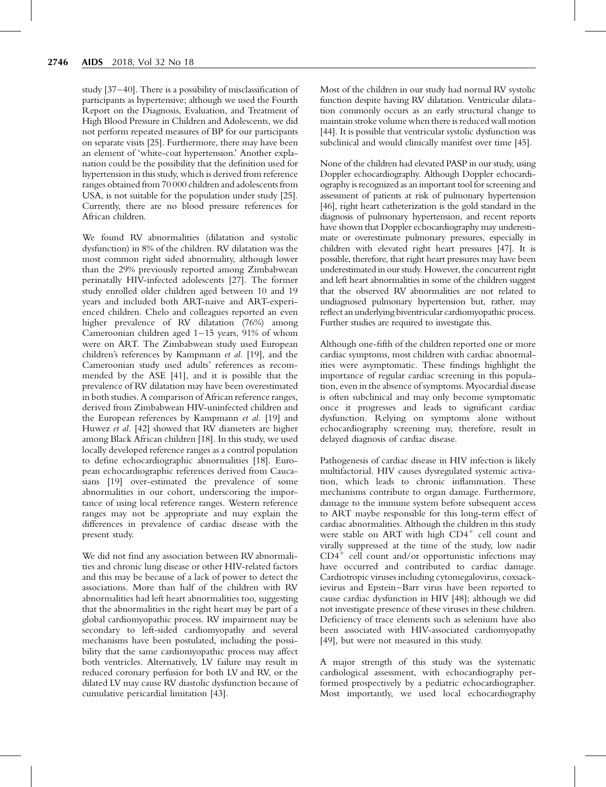study [37–40]. There is a possibility of misclassification of participants as hypertensive; although we used the Fourth Report on the Diagnosis, Evaluation, and Treatment of High Blood Pressure in Children and Adolescents, we did not perform repeated measures of BP for our participants on separate visits [25]. Furthermore, there may have been an element of 'white-coat hypertension.' Another explanation could be the possibility that the definition used for hypertension in this study, which is derived from reference ranges obtained from 70 000 children and adolescents from USA, is not suitable for the population under study [25]. Currently, there are no blood pressure references for African children.

We found RV abnormalities (dilatation and systolic dysfunction) in 8% of the children. RV dilatation was the most common right sided abnormality, although lower than the 29% previously reported among Zimbabwean perinatally HIV-infected adolescents [27]. The former study enrolled older children aged between 10 and 19 years and included both ART-naive and ART-experienced children. Chelo and colleagues reported an even higher prevalence of RV dilatation (76%) among Cameroonian children aged 1–15 years, 91% of whom were on ART. The Zimbabwean study used European children's references by Kampmann et al. [19], and the Cameroonian study used adults' references as recommended by the ASE [41], and it is possible that the prevalence of RV dilatation may have been overestimated in both studies. A comparison of African reference ranges, derived from Zimbabwean HIV-uninfected children and the European references by Kampmann et al. [19] and Huwez et al. [42] showed that RV diameters are higher among Black African children [18]. In this study, we used locally developed reference ranges as a control population to define echocardiographic abnormalities [18]. European echocardiographic references derived from Caucasians [19] over-estimated the prevalence of some abnormalities in our cohort, underscoring the importance of using local reference ranges. Western reference ranges may not be appropriate and may explain the differences in prevalence of cardiac disease with the present study.

We did not find any association between RV abnormalities and chronic lung disease or other HIV-related factors and this may be because of a lack of power to detect the associations. More than half of the children with RV abnormalities had left heart abnormalities too, suggesting that the abnormalities in the right heart may be part of a global cardiomyopathic process. RV impairment may be secondary to left-sided cardiomyopathy and several mechanisms have been postulated, including the possibility that the same cardiomyopathic process may affect both ventricles. Alternatively, LV failure may result in reduced coronary perfusion for both LV and RV, or the dilated LV may cause RV diastolic dysfunction because of cumulative pericardial limitation [43].

Most of the children in our study had normal RV systolic function despite having RV dilatation. Ventricular dilatation commonly occurs as an early structural change to maintain stroke volume when there is reduced wall motion [44]. It is possible that ventricular systolic dysfunction was subclinical and would clinically manifest over time [45].

None of the children had elevated PASP in our study, using Doppler echocardiography. Although Doppler echocardiography is recognized as an important tool for screening and assessment of patients at risk of pulmonary hypertension [46], right heart catheterization is the gold standard in the diagnosis of pulmonary hypertension, and recent reports have shown that Doppler echocardiography may underestimate or overestimate pulmonary pressures, especially in children with elevated right heart pressures [47]. It is possible, therefore, that right heart pressures may have been underestimated in our study. However, the concurrent right and left heart abnormalities in some of the children suggest that the observed RV abnormalities are not related to undiagnosed pulmonary hypertension but, rather, may reflect an underlying biventricular cardiomyopathic process. Further studies are required to investigate this.

Although one-fifth of the children reported one or more cardiac symptoms, most children with cardiac abnormalities were asymptomatic. These findings highlight the importance of regular cardiac screening in this population, even in the absence of symptoms. Myocardial disease is often subclinical and may only become symptomatic once it progresses and leads to significant cardiac dysfunction. Relying on symptoms alone without echocardiography screening may, therefore, result in delayed diagnosis of cardiac disease.

Pathogenesis of cardiac disease in HIV infection is likely multifactorial. HIV causes dysregulated systemic activation, which leads to chronic inflammation. These mechanisms contribute to organ damage. Furthermore, damage to the immune system before subsequent access to ART maybe responsible for this long-term effect of cardiac abnormalities. Although the children in this study were stable on ART with high  $CD4^+$  cell count and virally suppressed at the time of the study, low nadir  $CD4<sup>+</sup>$  cell count and/or opportunistic infections may have occurred and contributed to cardiac damage. Cardiotropic viruses including cytomegalovirus, coxsackievirus and Epstein–Barr virus have been reported to cause cardiac dysfunction in HIV [48]; although we did not investigate presence of these viruses in these children. Deficiency of trace elements such as selenium have also been associated with HIV-associated cardiomyopathy [49], but were not measured in this study.

A major strength of this study was the systematic cardiological assessment, with echocardiography performed prospectively by a pediatric echocardiographer. Most importantly, we used local echocardiography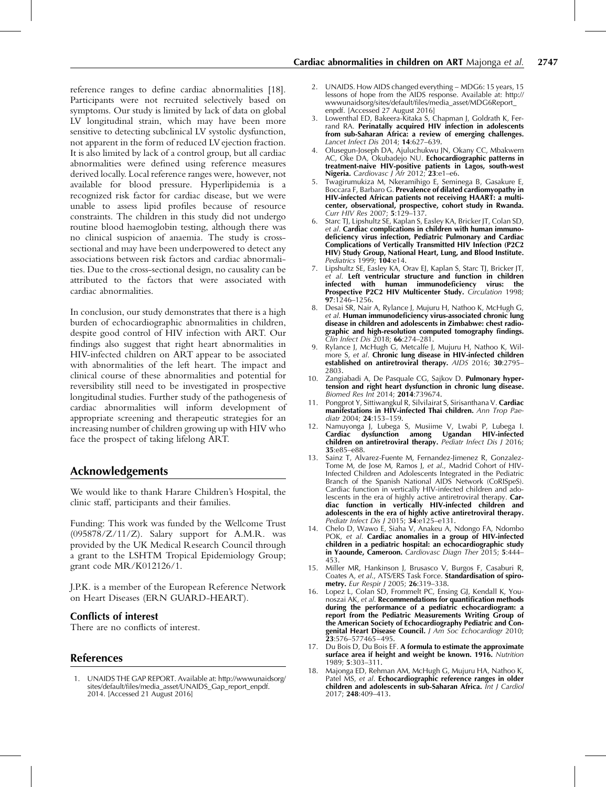reference ranges to define cardiac abnormalities [18]. Participants were not recruited selectively based on symptoms. Our study is limited by lack of data on global LV longitudinal strain, which may have been more sensitive to detecting subclinical LV systolic dysfunction, not apparent in the form of reduced LV ejection fraction. It is also limited by lack of a control group, but all cardiac abnormalities were defined using reference measures derived locally. Local reference ranges were, however, not available for blood pressure. Hyperlipidemia is a recognized risk factor for cardiac disease, but we were unable to assess lipid profiles because of resource constraints. The children in this study did not undergo routine blood haemoglobin testing, although there was no clinical suspicion of anaemia. The study is crosssectional and may have been underpowered to detect any associations between risk factors and cardiac abnormalities. Due to the cross-sectional design, no causality can be attributed to the factors that were associated with cardiac abnormalities.

In conclusion, our study demonstrates that there is a high burden of echocardiographic abnormalities in children, despite good control of HIV infection with ART. Our findings also suggest that right heart abnormalities in HIV-infected children on ART appear to be associated with abnormalities of the left heart. The impact and clinical course of these abnormalities and potential for reversibility still need to be investigated in prospective longitudinal studies. Further study of the pathogenesis of cardiac abnormalities will inform development of appropriate screening and therapeutic strategies for an increasing number of children growing up with HIV who face the prospect of taking lifelong ART.

# Acknowledgements

We would like to thank Harare Children's Hospital, the clinic staff, participants and their families.

Funding: This work was funded by the Wellcome Trust (095878/Z/11/Z). Salary support for A.M.R. was provided by the UK Medical Research Council through a grant to the LSHTM Tropical Epidemiology Group; grant code MR/K012126/1.

J.P.K. is a member of the European Reference Network on Heart Diseases (ERN GUARD-HEART).

## Conflicts of interest

There are no conflicts of interest.

## References

1. UNAIDS THE GAP REPORT. Available at: [http://wwwunaidsorg/](http://wwwunaidsorg/sites/default/files/media_asset/UNAIDS_Gap_report_enpdf.%202014) [sites/default/files/media\\_asset/UNAIDS\\_Gap\\_report\\_enpdf.](http://wwwunaidsorg/sites/default/files/media_asset/UNAIDS_Gap_report_enpdf.%202014) [2014.](http://wwwunaidsorg/sites/default/files/media_asset/UNAIDS_Gap_report_enpdf.%202014) [Accessed 21 August 2016]

- 2. UNAIDS. How AIDS changed everything MDG6: 15 years, 15 lessons of hope from the AIDS response. Available at: [http://](http://wwwunaidsorg/sites/default/files/media_asset/MDG6Report_enpdf) [wwwunaidsorg/sites/default/files/media\\_asset/MDG6Report\\_](http://wwwunaidsorg/sites/default/files/media_asset/MDG6Report_enpdf) [enpdf.](http://wwwunaidsorg/sites/default/files/media_asset/MDG6Report_enpdf) [Accessed 27 August 2016]
- 3. Lowenthal ED, Bakeera-Kitaka S, Chapman J, Goldrath K, Ferrand RA. Perinatally acquired HIV infection in adolescents from sub-Saharan Africa: a review of emerging challenges. Lancet Infect Dis 2014; 14:627–639.
- 4. Olusegun-Joseph DA, Ajuluchukwu JN, Okany CC, Mbakwem AC, Oke DA, Okubadejo NU. Echocardiographic patterns in treatment-naive HIV-positive patients in Lagos, south-west Nigeria. Cardiovasc J Afr 2012; 23:e1–e6.
- 5. Twagirumukiza M, Nkeramihigo E, Seminega B, Gasakure E, Boccara F, Barbaro G. Prevalence of dilated cardiomyopathy in HIV-infected African patients not receiving HAART: a multicenter, observational, prospective, cohort study in Rwanda. Curr HIV Res 2007; 5:129–137.
- 6. Starc TJ, Lipshultz SE, Kaplan S, Easley KA, Bricker JT, Colan SD, et al. Cardiac complications in children with human immunodeficiency virus infection, Pediatric Pulmonary and Cardiac Complications of Vertically Transmitted HIV Infection (P2C2 HIV) Study Group, National Heart, Lung, and Blood Institute. Pediatrics 1999; 104:e14.
- 7. Lipshultz SE, Easley KA, Orav EJ, Kaplan S, Starc TJ, Bricker JT, et al. Left ventricular structure and function in children infected with human immunodeficiency virus: the Prospective P2C2 HIV Multicenter Study. Circulation 1998; 97:1246–1256.
- 8. Desai SR, Nair A, Rylance J, Mujuru H, Nathoo K, McHugh G, et al. Human immunodeficiency virus-associated chronic lung disease in children and adolescents in Zimbabwe: chest radiographic and high-resolution computed tomography findings. Clin Infect Dis 2018; 66:274–281.
- 9. Rylance J, McHugh G, Metcalfe J, Mujuru H, Nathoo K, Wilmore S, et al. Chronic lung disease in HIV-infected children established on antiretroviral therapy. AIDS 2016; 30:2795– 2803.
- 10. Zangiabadi A, De Pasquale CG, Sajkov D. Pulmonary hypertension and right heart dysfunction in chronic lung disease. Biomed Res Int 2014; 2014:739674.
- 11. Pongprot Y, Sittiwangkul R, Silvilairat S, Sirisanthana V. Cardiac manifestations in HIV-infected Thai children. Ann Trop Paediatr 2004; 24:153–159.
- 12. Namuyonga J, Lubega S, Musiime V, Lwabi P, Lubega I. Cardiac dysfunction among Ugandan HIV-infected children on antiretroviral therapy. Pediatr Infect Dis J 2016; 35:e85–e88.
- 13. Sainz T, Alvarez-Fuente M, Fernandez-Jimenez R, Gonzalez-Tome M, de Jose M, Ramos J, et al., Madrid Cohort of HIV-Infected Children and Adolescents Integrated in the Pediatric Branch of the Spanish National AIDS Network (CoRISpeS). Cardiac function in vertically HIV-infected children and adolescents in the era of highly active antiretroviral therapy.  $Car$ diac function in vertically HIV-infected children and adolescents in the era of highly active antiretroviral therapy. Pediatr Infect Dis J 2015; 34:e125-e131.
- 14. Chelo D, Wawo E, Siaha V, Anakeu A, Ndongo FA, Ndombo POK, et al. **Cardiac anomalies in a group of HIV-infected** children in a pediatric hospital: an echocardiographic study in Yaounde, Cameroon. Cardiovasc Diagn Ther 2015; 5:444-453.
- 15. Miller MR, Hankinson J, Brusasco V, Burgos F, Casaburi R, Coates A, et al., ATS/ERS Task Force. Standardisation of spirometry. Eur Respir J 2005; 26:319–338.
- 16. Lopez L, Colan SD, Frommelt PC, Ensing GJ, Kendall K, Younoszai AK, et al. Recommendations for quantification methods during the performance of a pediatric echocardiogram: a report from the Pediatric Measurements Writing Group of the American Society of Echocardiography Pediatric and Congenital Heart Disease Council. J Am Soc' Echocardiogr 2010; 23:576–577465–495.
- 17. Du Bois D, Du Bois EF. A formula to estimate the approximate surface area if height and weight be known. 1916. Nutrition 1989; 5:303–311.
- 18. Majonga ED, Rehman AM, McHugh G, Mujuru HA, Nathoo K, Patel MS, et al. **Echocardiographic reference ranges in older** children and adolescents in sub-Saharan Africa. Int J Cardiol 2017; 248:409–413.